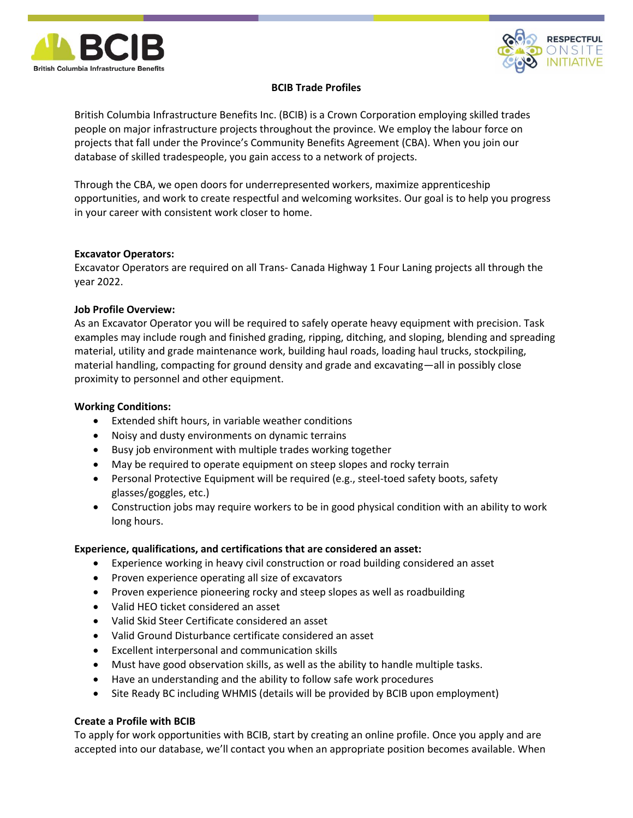



# **BCIB Trade Profiles**

British Columbia Infrastructure Benefits Inc. (BCIB) is a Crown Corporation employing skilled trades people on major infrastructure projects throughout the province. We employ the labour force on projects that fall under the Province's Community Benefits Agreement (CBA). When you join our database of skilled tradespeople, you gain access to a network of projects.

Through the CBA, we open doors for underrepresented workers, maximize apprenticeship opportunities, and work to create respectful and welcoming worksites. Our goal is to help you progress in your career with consistent work closer to home.

## **Excavator Operators:**

Excavator Operators are required on all Trans- Canada Highway 1 Four Laning projects all through the year 2022.

### **Job Profile Overview:**

As an Excavator Operator you will be required to safely operate heavy equipment with precision. Task examples may include rough and finished grading, ripping, ditching, and sloping, blending and spreading material, utility and grade maintenance work, building haul roads, loading haul trucks, stockpiling, material handling, compacting for ground density and grade and excavating—all in possibly close proximity to personnel and other equipment.

### **Working Conditions:**

- Extended shift hours, in variable weather conditions
- Noisy and dusty environments on dynamic terrains
- Busy job environment with multiple trades working together
- May be required to operate equipment on steep slopes and rocky terrain
- Personal Protective Equipment will be required (e.g., steel-toed safety boots, safety glasses/goggles, etc.)
- Construction jobs may require workers to be in good physical condition with an ability to work long hours.

## **Experience, qualifications, and certifications that are considered an asset:**

- Experience working in heavy civil construction or road building considered an asset
- Proven experience operating all size of excavators
- Proven experience pioneering rocky and steep slopes as well as roadbuilding
- Valid HEO ticket considered an asset
- Valid Skid Steer Certificate considered an asset
- Valid Ground Disturbance certificate considered an asset
- Excellent interpersonal and communication skills
- Must have good observation skills, as well as the ability to handle multiple tasks.
- Have an understanding and the ability to follow safe work procedures
- Site Ready BC including WHMIS (details will be provided by BCIB upon employment)

## **Create a Profile with BCIB**

To apply for work opportunities with BCIB, start by creating an online profile. Once you apply and are accepted into our database, we'll contact you when an appropriate position becomes available. When